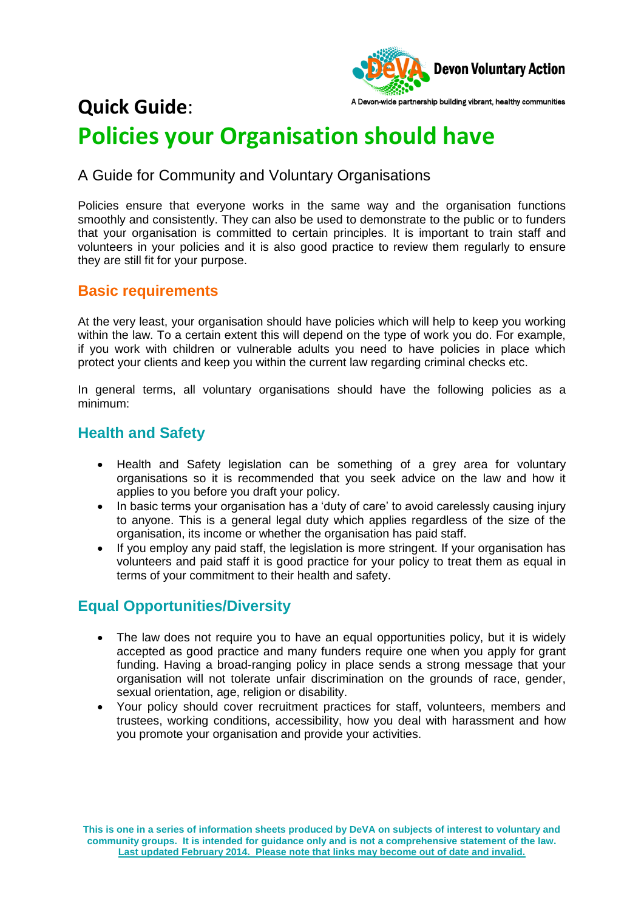

## A Devon-wide partnership building vibrant, healthy communities **Quick Guide**: **Policies your Organisation should have**

## A Guide for Community and Voluntary Organisations

Policies ensure that everyone works in the same way and the organisation functions smoothly and consistently. They can also be used to demonstrate to the public or to funders that your organisation is committed to certain principles. It is important to train staff and volunteers in your policies and it is also good practice to review them regularly to ensure they are still fit for your purpose.

#### **Basic requirements**

At the very least, your organisation should have policies which will help to keep you working within the law. To a certain extent this will depend on the type of work you do. For example, if you work with children or vulnerable adults you need to have policies in place which protect your clients and keep you within the current law regarding criminal checks etc.

In general terms, all voluntary organisations should have the following policies as a minimum:

#### **Health and Safety**

- Health and Safety legislation can be something of a grey area for voluntary organisations so it is recommended that you seek advice on the law and how it applies to you before you draft your policy.
- In basic terms your organisation has a 'duty of care' to avoid carelessly causing injury to anyone. This is a general legal duty which applies regardless of the size of the organisation, its income or whether the organisation has paid staff.
- If you employ any paid staff, the legislation is more stringent. If your organisation has volunteers and paid staff it is good practice for your policy to treat them as equal in terms of your commitment to their health and safety.

## **Equal Opportunities/Diversity**

- The law does not require you to have an equal opportunities policy, but it is widely accepted as good practice and many funders require one when you apply for grant funding. Having a broad-ranging policy in place sends a strong message that your organisation will not tolerate unfair discrimination on the grounds of race, gender, sexual orientation, age, religion or disability.
- Your policy should cover recruitment practices for staff, volunteers, members and trustees, working conditions, accessibility, how you deal with harassment and how you promote your organisation and provide your activities.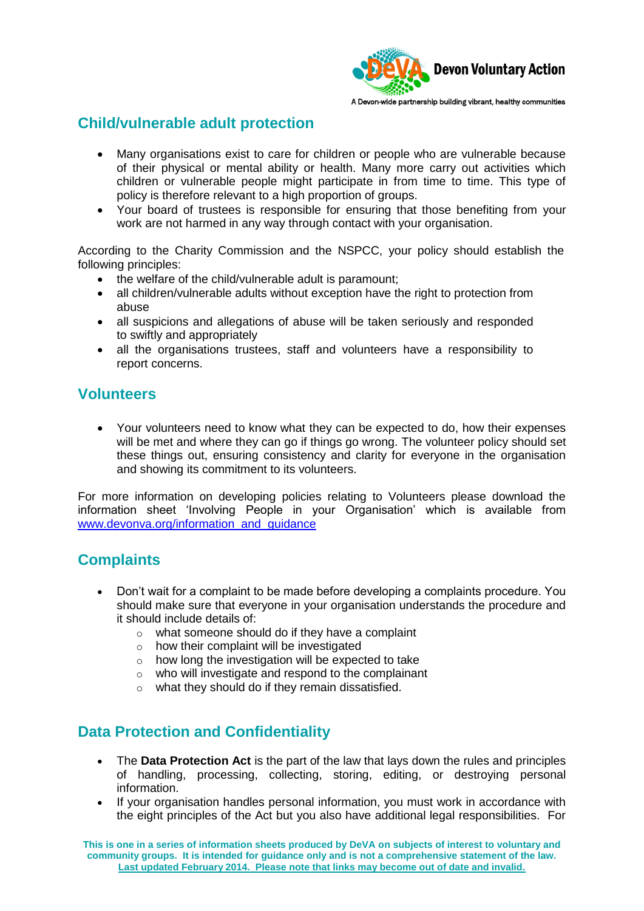

### **Child/vulnerable adult protection**

- Many organisations exist to care for children or people who are vulnerable because of their physical or mental ability or health. Many more carry out activities which children or vulnerable people might participate in from time to time. This type of policy is therefore relevant to a high proportion of groups.
- Your board of trustees is responsible for ensuring that those benefiting from your work are not harmed in any way through contact with your organisation.

According to the Charity Commission and the NSPCC, your policy should establish the following principles:

- the welfare of the child/vulnerable adult is paramount;
- all children/vulnerable adults without exception have the right to protection from abuse
- all suspicions and allegations of abuse will be taken seriously and responded to swiftly and appropriately
- all the organisations trustees, staff and volunteers have a responsibility to report concerns.

#### **Volunteers**

 Your volunteers need to know what they can be expected to do, how their expenses will be met and where they can go if things go wrong. The volunteer policy should set these things out, ensuring consistency and clarity for everyone in the organisation and showing its commitment to its volunteers.

For more information on developing policies relating to Volunteers please download the information sheet 'Involving People in your Organisation' which is available from [www.devonva.org/information\\_and\\_guidance](http://www.devonva.org/information_and_guidance)

## **Complaints**

- Don't wait for a complaint to be made before developing a complaints procedure. You should make sure that everyone in your organisation understands the procedure and it should include details of:
	- o what someone should do if they have a complaint
	- $\circ$  how their complaint will be investigated
	- o how long the investigation will be expected to take
	- o who will investigate and respond to the complainant
	- o what they should do if they remain dissatisfied.

## **Data Protection and Confidentiality**

- The **Data Protection Act** is the part of the law that lays down the rules and principles of handling, processing, collecting, storing, editing, or destroying personal information.
- If your organisation handles personal information, you must work in accordance with the eight principles of the Act but you also have additional legal responsibilities. For

**This is one in a series of information sheets produced by DeVA on subjects of interest to voluntary and community groups. It is intended for guidance only and is not a comprehensive statement of the law. Last updated February 2014. Please note that links may become out of date and invalid.**